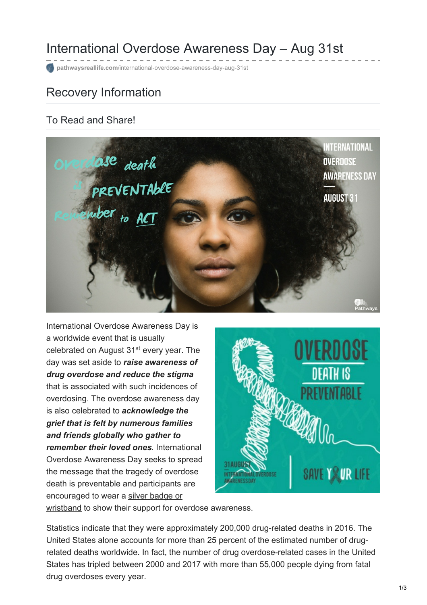## International Overdose Awareness Day – Aug 31st

**pathwaysreallife.com**[/international-overdose-awareness-day-aug-31st](https://pathwaysreallife.com/international-overdose-awareness-day-aug-31st/)

### Recovery Information

#### To Read and Share!



International Overdose Awareness Day is a worldwide event that is usually celebrated on August 31<sup>st</sup> every year. The day was set aside to *raise awareness of drug overdose and reduce the stigma* that is associated with such incidences of overdosing. The overdose awareness day is also celebrated to *acknowledge the grief that is felt by numerous families and friends globally who gather to remember their loved ones*. International Overdose Awareness Day seeks to spread the message that the tragedy of overdose death is preventable and participants are [encouraged](https://www.overdoseday.com/shop/) to wear a silver badge or



wristband to show their support for overdose awareness.

Statistics indicate that they were approximately 200,000 drug-related deaths in 2016. The United States alone accounts for more than 25 percent of the estimated number of drugrelated deaths worldwide. In fact, the number of drug overdose-related cases in the United States has tripled between 2000 and 2017 with more than 55,000 people dying from fatal drug overdoses every year.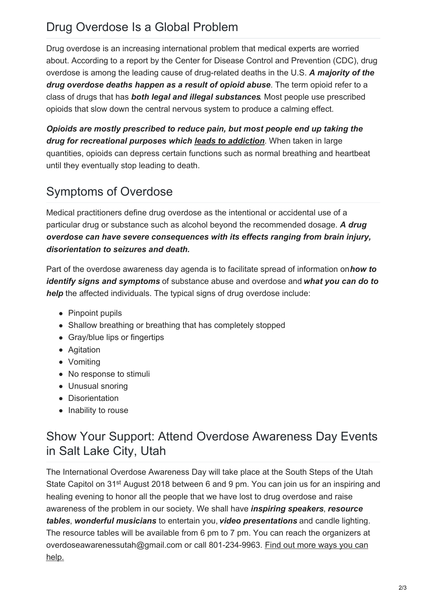## Drug Overdose Is a Global Problem

Drug overdose is an increasing international problem that medical experts are worried about. According to a report by the Center for Disease Control and Prevention (CDC), drug overdose is among the leading cause of drug-related deaths in the U.S. *A majority of the drug overdose deaths happen as a result of opioid abuse*. The term opioid refer to a class of drugs that has *both legal and illegal substances*. Most people use prescribed opioids that slow down the central nervous system to produce a calming effect.

*Opioids are mostly prescribed to reduce pain, but most people end up taking the drug for recreational purposes which leads to [addiction](https://pathwaysreallife.com/prescription-drug-abuse-treatment-utah/)*. When taken in large quantities, opioids can depress certain functions such as normal breathing and heartbeat until they eventually stop leading to death.

# Symptoms of Overdose

Medical practitioners define drug overdose as the intentional or accidental use of a particular drug or substance such as alcohol beyond the recommended dosage. *A drug overdose can have severe consequences with its effects ranging from brain injury, disorientation to seizures and death.*

Part of the overdose awareness day agenda is to facilitate spread of information on*how to identify signs and symptoms* of substance abuse and overdose and *what you can do to help* the affected individuals. The typical signs of drug overdose include:

- Pinpoint pupils
- Shallow breathing or breathing that has completely stopped
- Gray/blue lips or fingertips
- Agitation
- Vomiting
- No response to stimuli
- Unusual snoring
- **•** Disorientation
- Inability to rouse

#### Show Your Support: Attend Overdose Awareness Day Events in Salt Lake City, Utah

The International Overdose Awareness Day will take place at the South Steps of the Utah State Capitol on 31<sup>st</sup> August 2018 between 6 and 9 pm. You can join us for an inspiring and healing evening to honor all the people that we have lost to drug overdose and raise awareness of the problem in our society. We shall have *inspiring speakers*, *resource tables*, *wonderful musicians* to entertain you, *video presentations* and candle lighting. The resource tables will be available from 6 pm to 7 pm. You can reach the organizers at [overdoseawarenessutah@gmail.com](https://www.overdoseday.com/) or call 801-234-9963. Find out more ways you can help.